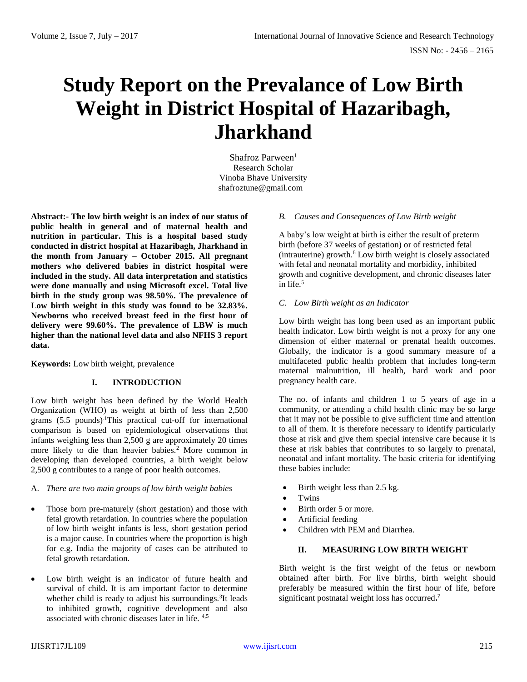# **Study Report on the Prevalance of Low Birth Weight in District Hospital of Hazaribagh, Jharkhand**

Shafroz Parween $<sup>1</sup>$ </sup> Research Scholar Vinoba Bhave University shafroztune@gmail.com

**Abstract:- The low birth weight is an index of our status of public health in general and of maternal health and nutrition in particular. This is a hospital based study conducted in district hospital at Hazaribagh, Jharkhand in the month from January – October 2015. All pregnant mothers who delivered babies in district hospital were included in the study. All data interpretation and statistics were done manually and using Microsoft excel. Total live birth in the study group was 98.50%. The prevalence of Low birth weight in this study was found to be 32.83%. Newborns who received breast feed in the first hour of delivery were 99.60%. The prevalence of LBW is much higher than the national level data and also NFHS 3 report data.**

**Keywords:** Low birth weight, prevalence

# **I. INTRODUCTION**

Low birth weight has been defined by the World Health Organization (WHO) as weight at birth of less than 2,500 grams  $(5.5 \text{ pounds})$ . This practical cut-off for international comparison is based on epidemiological observations that infants weighing less than 2,500 g are approximately 20 times more likely to die than heavier babies.<sup>2</sup> More common in developing than developed countries, a birth weight below 2,500 g contributes to a range of poor health outcomes.

#### A. *There are two main groups of low birth weight babies*

- Those born pre-maturely (short gestation) and those with fetal growth retardation. In countries where the population of low birth weight infants is less, short gestation period is a major cause. In countries where the proportion is high for e.g. India the majority of cases can be attributed to fetal growth retardation.
- Low birth weight is an indicator of future health and survival of child. It is am important factor to determine whether child is ready to adjust his surroundings.<sup>3</sup>It leads to inhibited growth, cognitive development and also associated with chronic diseases later in life. 4,5

## *B. Causes and Consequences of Low Birth weight*

A baby's low weight at birth is either the result of preterm birth (before 37 weeks of gestation) or of restricted fetal  $(intrauterine)$  growth.<sup>6</sup> Low birth weight is closely associated with fetal and neonatal mortality and morbidity, inhibited growth and cognitive development, and chronic diseases later in life.<sup>5</sup>

## *C. Low Birth weight as an Indicator*

Low birth weight has long been used as an important public health indicator. Low birth weight is not a proxy for any one dimension of either maternal or prenatal health outcomes. Globally, the indicator is a good summary measure of a multifaceted public health problem that includes long-term maternal malnutrition, ill health, hard work and poor pregnancy health care.

The no. of infants and children 1 to 5 years of age in a community, or attending a child health clinic may be so large that it may not be possible to give sufficient time and attention to all of them. It is therefore necessary to identify particularly those at risk and give them special intensive care because it is these at risk babies that contributes to so largely to prenatal, neonatal and infant mortality. The basic criteria for identifying these babies include:

- $\bullet$  Birth weight less than 2.5 kg.
- Twins
- Birth order 5 or more.
- Artificial feeding
- Children with PEM and Diarrhea.

## **II. MEASURING LOW BIRTH WEIGHT**

Birth weight is the first weight of the fetus or newborn obtained after birth. For live births, birth weight should preferably be measured within the first hour of life, before significant postnatal weight loss has occurred**. 7**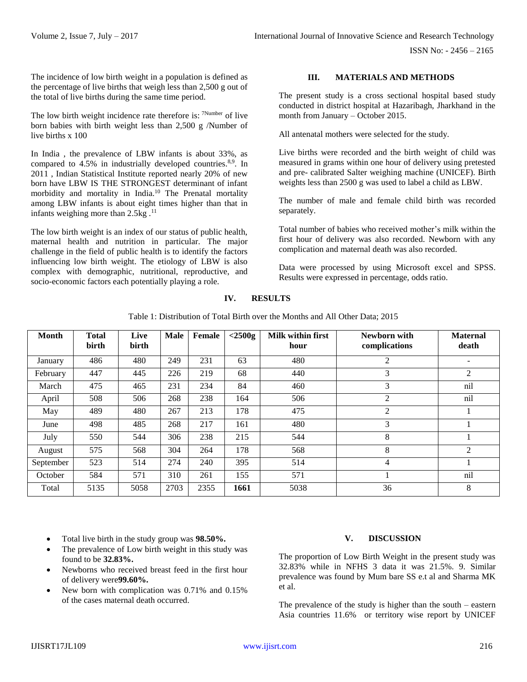ISSN No: - 2456 – 2165

The incidence of low birth weight in a population is defined as the percentage of live births that weigh less than 2,500 g out of the total of live births during the same time period.

The low birth weight incidence rate therefore is: <sup>7Number</sup> of live born babies with birth weight less than 2,500 g /Number of live births x 100

In India , the prevalence of LBW infants is about 33%, as compared to 4.5% in industrially developed countries.<sup>8,9</sup>. In 2011 , Indian Statistical Institute reported nearly 20% of new born have LBW IS THE STRONGEST determinant of infant morbidity and mortality in India.<sup>10</sup> The Prenatal mortality among LBW infants is about eight times higher than that in infants weighing more than  $2.5kg$ .<sup>11</sup>

The low birth weight is an index of our status of public health, maternal health and nutrition in particular. The major challenge in the field of public health is to identify the factors influencing low birth weight. The etiology of LBW is also complex with demographic, nutritional, reproductive, and socio-economic factors each potentially playing a role.

# **III. MATERIALS AND METHODS**

The present study is a cross sectional hospital based study conducted in district hospital at Hazaribagh, Jharkhand in the month from January – October 2015.

All antenatal mothers were selected for the study.

Live births were recorded and the birth weight of child was measured in grams within one hour of delivery using pretested and pre- calibrated Salter weighing machine (UNICEF). Birth weights less than 2500 g was used to label a child as LBW.

The number of male and female child birth was recorded separately.

Total number of babies who received mother's milk within the first hour of delivery was also recorded. Newborn with any complication and maternal death was also recorded.

Data were processed by using Microsoft excel and SPSS. Results were expressed in percentage, odds ratio.

| Month     | <b>Total</b><br>birth | Live<br>birth | <b>Male</b> | Female | $<$ 2500g | Milk within first<br>hour | Newborn with<br>complications | <b>Maternal</b><br>death |
|-----------|-----------------------|---------------|-------------|--------|-----------|---------------------------|-------------------------------|--------------------------|
| January   | 486                   | 480           | 249         | 231    | 63        | 480                       | 2                             |                          |
| February  | 447                   | 445           | 226         | 219    | 68        | 440                       | 3                             | $\overline{2}$           |
| March     | 475                   | 465           | 231         | 234    | 84        | 460                       | 3                             | nil                      |
| April     | 508                   | 506           | 268         | 238    | 164       | 506                       | 2                             | nil                      |
| May       | 489                   | 480           | 267         | 213    | 178       | 475                       | 2                             |                          |
| June      | 498                   | 485           | 268         | 217    | 161       | 480                       | 3                             |                          |
| July      | 550                   | 544           | 306         | 238    | 215       | 544                       | 8                             |                          |
| August    | 575                   | 568           | 304         | 264    | 178       | 568                       | 8                             | 2                        |
| September | 523                   | 514           | 274         | 240    | 395       | 514                       | 4                             |                          |
| October   | 584                   | 571           | 310         | 261    | 155       | 571                       |                               | nil                      |
| Total     | 5135                  | 5058          | 2703        | 2355   | 1661      | 5038                      | 36                            | 8                        |

**IV. RESULTS**

Table 1: Distribution of Total Birth over the Months and All Other Data; 2015

- Total live birth in the study group was **98.50%.**
- The prevalence of Low birth weight in this study was found to be **32.83%.**
- Newborns who received breast feed in the first hour of delivery were**99.60%.**
- New born with complication was 0.71% and 0.15% of the cases maternal death occurred.

# **V. DISCUSSION**

The proportion of Low Birth Weight in the present study was 32.83% while in NFHS 3 data it was 21.5%. 9. Similar prevalence was found by Mum bare SS e.t al and Sharma MK et al.

The prevalence of the study is higher than the south – eastern Asia countries 11.6% or territory wise report by UNICEF